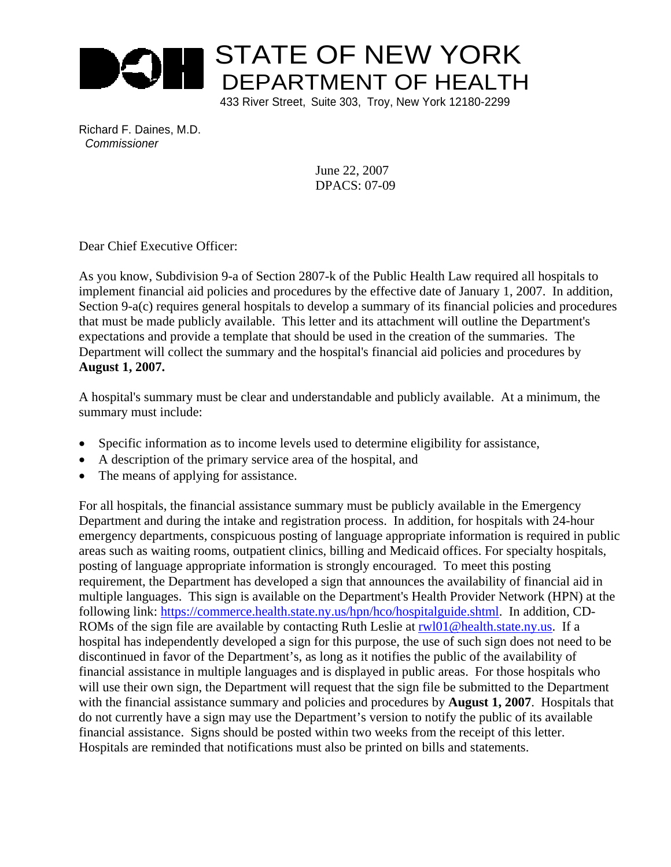

433 River Street, Suite 303, Troy, New York 12180-2299

Richard F. Daines, M.D. *Commissioner*

> June 22, 2007 DPACS: 07-09

Dear Chief Executive Officer:

As you know, Subdivision 9-a of Section 2807-k of the Public Health Law required all hospitals to implement financial aid policies and procedures by the effective date of January 1, 2007. In addition, Section 9-a(c) requires general hospitals to develop a summary of its financial policies and procedures that must be made publicly available. This letter and its attachment will outline the Department's expectations and provide a template that should be used in the creation of the summaries. The Department will collect the summary and the hospital's financial aid policies and procedures by **August 1, 2007.**

A hospital's summary must be clear and understandable and publicly available. At a minimum, the summary must include:

- Specific information as to income levels used to determine eligibility for assistance,
- A description of the primary service area of the hospital, and
- The means of applying for assistance.

For all hospitals, the financial assistance summary must be publicly available in the Emergency Department and during the intake and registration process. In addition, for hospitals with 24-hour emergency departments, conspicuous posting of language appropriate information is required in public areas such as waiting rooms, outpatient clinics, billing and Medicaid offices. For specialty hospitals, posting of language appropriate information is strongly encouraged. To meet this posting requirement, the Department has developed a sign that announces the availability of financial aid in multiple languages. This sign is available on the Department's Health Provider Network (HPN) at the following link: https://commerce.health.state.ny.us/hpn/hco/hospitalguide.shtml. In addition, CD-ROMs of the sign file are available by contacting Ruth Leslie at rwl01@health.state.ny.us. If a hospital has independently developed a sign for this purpose, the use of such sign does not need to be discontinued in favor of the Department's, as long as it notifies the public of the availability of financial assistance in multiple languages and is displayed in public areas. For those hospitals who will use their own sign, the Department will request that the sign file be submitted to the Department with the financial assistance summary and policies and procedures by **August 1, 2007**. Hospitals that do not currently have a sign may use the Department's version to notify the public of its available financial assistance. Signs should be posted within two weeks from the receipt of this letter. Hospitals are reminded that notifications must also be printed on bills and statements.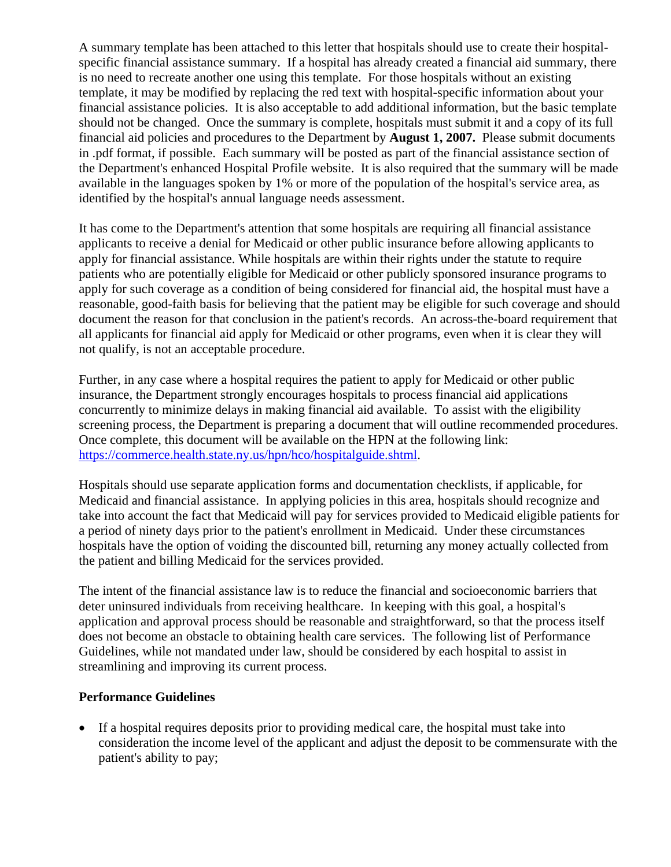A summary template has been attached to this letter that hospitals should use to create their hospitalspecific financial assistance summary. If a hospital has already created a financial aid summary, there is no need to recreate another one using this template. For those hospitals without an existing template, it may be modified by replacing the red text with hospital-specific information about your financial assistance policies. It is also acceptable to add additional information, but the basic template should not be changed. Once the summary is complete, hospitals must submit it and a copy of its full financial aid policies and procedures to the Department by **August 1, 2007.** Please submit documents in .pdf format, if possible.Each summary will be posted as part of the financial assistance section of the Department's enhanced Hospital Profile website. It is also required that the summary will be made available in the languages spoken by 1% or more of the population of the hospital's service area, as identified by the hospital's annual language needs assessment.

It has come to the Department's attention that some hospitals are requiring all financial assistance applicants to receive a denial for Medicaid or other public insurance before allowing applicants to apply for financial assistance. While hospitals are within their rights under the statute to require patients who are potentially eligible for Medicaid or other publicly sponsored insurance programs to apply for such coverage as a condition of being considered for financial aid, the hospital must have a reasonable, good-faith basis for believing that the patient may be eligible for such coverage and should document the reason for that conclusion in the patient's records. An across-the-board requirement that all applicants for financial aid apply for Medicaid or other programs, even when it is clear they will not qualify, is not an acceptable procedure.

Further, in any case where a hospital requires the patient to apply for Medicaid or other public insurance, the Department strongly encourages hospitals to process financial aid applications concurrently to minimize delays in making financial aid available. To assist with the eligibility screening process, the Department is preparing a document that will outline recommended procedures. Once complete, this document will be available on the HPN at the following link: https://commerce.health.state.ny.us/hpn/hco/hospitalguide.shtml.

Hospitals should use separate application forms and documentation checklists, if applicable, for Medicaid and financial assistance. In applying policies in this area, hospitals should recognize and take into account the fact that Medicaid will pay for services provided to Medicaid eligible patients for a period of ninety days prior to the patient's enrollment in Medicaid. Under these circumstances hospitals have the option of voiding the discounted bill, returning any money actually collected from the patient and billing Medicaid for the services provided.

The intent of the financial assistance law is to reduce the financial and socioeconomic barriers that deter uninsured individuals from receiving healthcare. In keeping with this goal, a hospital's application and approval process should be reasonable and straightforward, so that the process itself does not become an obstacle to obtaining health care services. The following list of Performance Guidelines, while not mandated under law, should be considered by each hospital to assist in streamlining and improving its current process.

# **Performance Guidelines**

• If a hospital requires deposits prior to providing medical care, the hospital must take into consideration the income level of the applicant and adjust the deposit to be commensurate with the patient's ability to pay;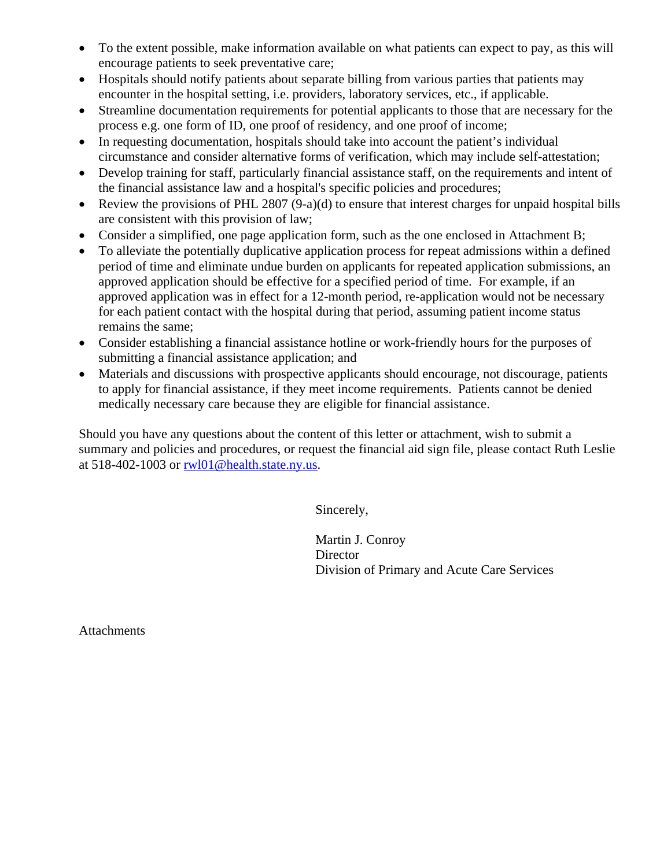- To the extent possible, make information available on what patients can expect to pay, as this will encourage patients to seek preventative care;
- Hospitals should notify patients about separate billing from various parties that patients may encounter in the hospital setting, i.e. providers, laboratory services, etc., if applicable.
- Streamline documentation requirements for potential applicants to those that are necessary for the process e.g. one form of ID, one proof of residency, and one proof of income;
- In requesting documentation, hospitals should take into account the patient's individual circumstance and consider alternative forms of verification, which may include self-attestation;
- Develop training for staff, particularly financial assistance staff, on the requirements and intent of the financial assistance law and a hospital's specific policies and procedures;
- Review the provisions of PHL 2807 (9-a)(d) to ensure that interest charges for unpaid hospital bills are consistent with this provision of law;
- Consider a simplified, one page application form, such as the one enclosed in Attachment B;
- To alleviate the potentially duplicative application process for repeat admissions within a defined period of time and eliminate undue burden on applicants for repeated application submissions, an approved application should be effective for a specified period of time. For example, if an approved application was in effect for a 12-month period, re-application would not be necessary for each patient contact with the hospital during that period, assuming patient income status remains the same;
- Consider establishing a financial assistance hotline or work-friendly hours for the purposes of submitting a financial assistance application; and
- Materials and discussions with prospective applicants should encourage, not discourage, patients to apply for financial assistance, if they meet income requirements. Patients cannot be denied medically necessary care because they are eligible for financial assistance.

Should you have any questions about the content of this letter or attachment, wish to submit a summary and policies and procedures, or request the financial aid sign file, please contact Ruth Leslie at 518-402-1003 or rwl01@health.state.ny.us.

Sincerely,

 Martin J. Conroy **Director** Division of Primary and Acute Care Services

**Attachments**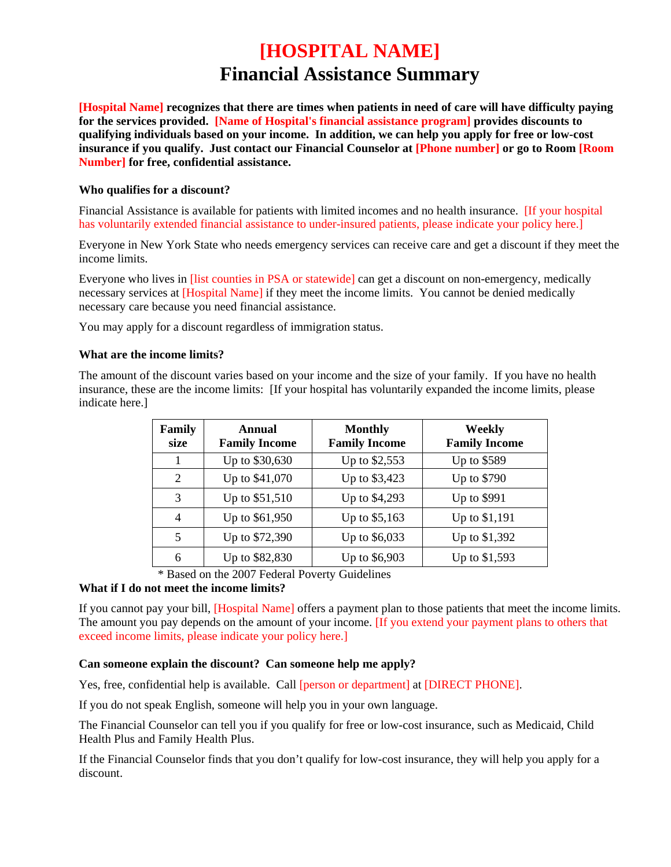# **[HOSPITAL NAME] Financial Assistance Summary**

**[Hospital Name] recognizes that there are times when patients in need of care will have difficulty paying for the services provided. [Name of Hospital's financial assistance program] provides discounts to qualifying individuals based on your income. In addition, we can help you apply for free or low-cost insurance if you qualify. Just contact our Financial Counselor at [Phone number] or go to Room [Room Number] for free, confidential assistance.** 

# **Who qualifies for a discount?**

Financial Assistance is available for patients with limited incomes and no health insurance. [If your hospital has voluntarily extended financial assistance to under-insured patients, please indicate your policy here.]

Everyone in New York State who needs emergency services can receive care and get a discount if they meet the income limits.

Everyone who lives in [list counties in PSA or statewide] can get a discount on non-emergency, medically necessary services at [Hospital Name] if they meet the income limits. You cannot be denied medically necessary care because you need financial assistance.

You may apply for a discount regardless of immigration status.

# **What are the income limits?**

The amount of the discount varies based on your income and the size of your family. If you have no health insurance, these are the income limits: [If your hospital has voluntarily expanded the income limits, please indicate here.]

| Family<br>size | Annual<br><b>Family Income</b> | <b>Monthly</b><br><b>Family Income</b> | Weekly<br><b>Family Income</b> |
|----------------|--------------------------------|----------------------------------------|--------------------------------|
|                | Up to \$30,630                 | Up to \$2,553                          | Up to \$589                    |
| $\overline{2}$ | Up to \$41,070                 | Up to \$3,423                          | Up to \$790                    |
| 3              | Up to \$51,510                 | Up to \$4,293                          | Up to \$991                    |
| $\overline{4}$ | Up to \$61,950                 | Up to \$5,163                          | Up to \$1,191                  |
| 5              | Up to \$72,390                 | Up to \$6,033                          | Up to \$1,392                  |
| 6              | Up to \$82,830                 | Up to \$6,903                          | Up to \$1,593                  |

\* Based on the 2007 Federal Poverty Guidelines

# **What if I do not meet the income limits?**

If you cannot pay your bill, [Hospital Name] offers a payment plan to those patients that meet the income limits. The amount you pay depends on the amount of your income. **If you extend your payment plans to others that** exceed income limits, please indicate your policy here.]

# **Can someone explain the discount? Can someone help me apply?**

Yes, free, confidential help is available. Call [person or department] at [DIRECT PHONE].

If you do not speak English, someone will help you in your own language.

The Financial Counselor can tell you if you qualify for free or low-cost insurance, such as Medicaid, Child Health Plus and Family Health Plus.

If the Financial Counselor finds that you don't qualify for low-cost insurance, they will help you apply for a discount.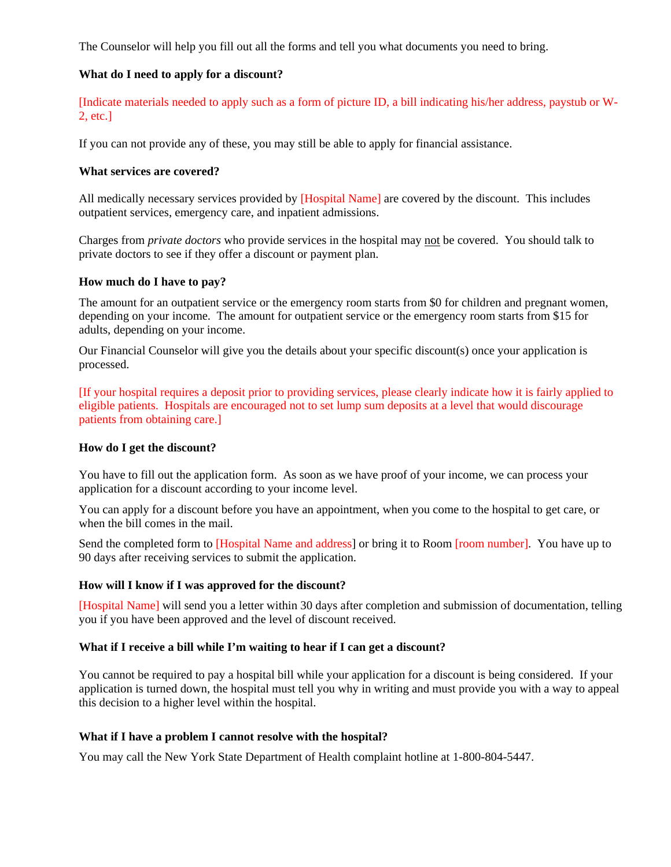The Counselor will help you fill out all the forms and tell you what documents you need to bring.

# **What do I need to apply for a discount?**

[Indicate materials needed to apply such as a form of picture ID, a bill indicating his/her address, paystub or W-2, etc.]

If you can not provide any of these, you may still be able to apply for financial assistance.

#### **What services are covered?**

All medically necessary services provided by [Hospital Name] are covered by the discount. This includes outpatient services, emergency care, and inpatient admissions.

Charges from *private doctors* who provide services in the hospital may not be covered. You should talk to private doctors to see if they offer a discount or payment plan.

#### **How much do I have to pay?**

The amount for an outpatient service or the emergency room starts from \$0 for children and pregnant women, depending on your income. The amount for outpatient service or the emergency room starts from \$15 for adults, depending on your income.

Our Financial Counselor will give you the details about your specific discount(s) once your application is processed.

[If your hospital requires a deposit prior to providing services, please clearly indicate how it is fairly applied to eligible patients. Hospitals are encouraged not to set lump sum deposits at a level that would discourage patients from obtaining care.]

#### **How do I get the discount?**

You have to fill out the application form. As soon as we have proof of your income, we can process your application for a discount according to your income level.

You can apply for a discount before you have an appointment, when you come to the hospital to get care, or when the bill comes in the mail.

Send the completed form to [Hospital Name and address] or bring it to Room [room number]. You have up to 90 days after receiving services to submit the application.

#### **How will I know if I was approved for the discount?**

[Hospital Name] will send you a letter within 30 days after completion and submission of documentation, telling you if you have been approved and the level of discount received.

#### **What if I receive a bill while I'm waiting to hear if I can get a discount?**

You cannot be required to pay a hospital bill while your application for a discount is being considered. If your application is turned down, the hospital must tell you why in writing and must provide you with a way to appeal this decision to a higher level within the hospital.

#### **What if I have a problem I cannot resolve with the hospital?**

You may call the New York State Department of Health complaint hotline at 1-800-804-5447.